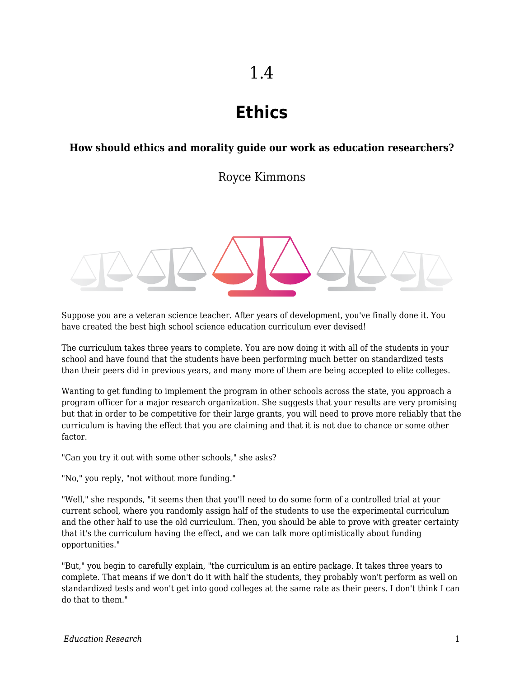# **Ethics**

### **How should ethics and morality guide our work as education researchers?**

Royce Kimmons



Suppose you are a veteran science teacher. After years of development, you've finally done it. You have created the best high school science education curriculum ever devised!

The curriculum takes three years to complete. You are now doing it with all of the students in your school and have found that the students have been performing much better on standardized tests than their peers did in previous years, and many more of them are being accepted to elite colleges.

Wanting to get funding to implement the program in other schools across the state, you approach a program officer for a major research organization. She suggests that your results are very promising but that in order to be competitive for their large grants, you will need to prove more reliably that the curriculum is having the effect that you are claiming and that it is not due to chance or some other factor.

"Can you try it out with some other schools," she asks?

"No," you reply, "not without more funding."

"Well," she responds, "it seems then that you'll need to do some form of a controlled trial at your current school, where you randomly assign half of the students to use the experimental curriculum and the other half to use the old curriculum. Then, you should be able to prove with greater certainty that it's the curriculum having the effect, and we can talk more optimistically about funding opportunities."

"But," you begin to carefully explain, "the curriculum is an entire package. It takes three years to complete. That means if we don't do it with half the students, they probably won't perform as well on standardized tests and won't get into good colleges at the same rate as their peers. I don't think I can do that to them."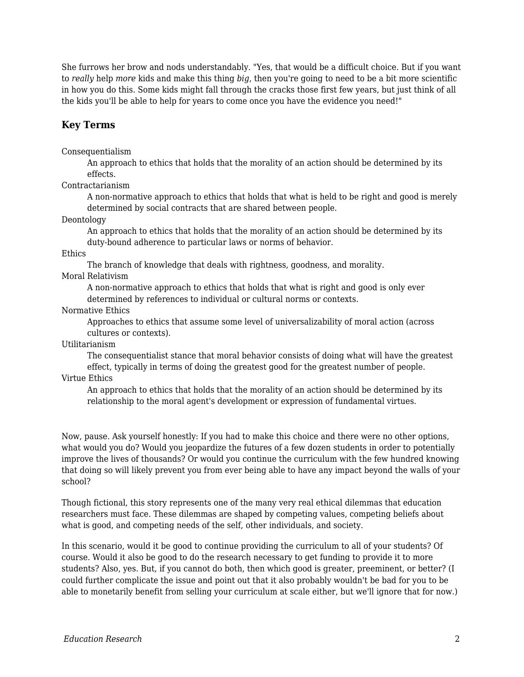She furrows her brow and nods understandably. "Yes, that would be a difficult choice. But if you want to *really* help *more* kids and make this thing *big*, then you're going to need to be a bit more scientific in how you do this. Some kids might fall through the cracks those first few years, but just think of all the kids you'll be able to help for years to come once you have the evidence you need!"

## **Key Terms**

### Consequentialism

An approach to ethics that holds that the morality of an action should be determined by its effects.

### Contractarianism

A non-normative approach to ethics that holds that what is held to be right and good is merely determined by social contracts that are shared between people.

Deontology

An approach to ethics that holds that the morality of an action should be determined by its duty-bound adherence to particular laws or norms of behavior.

#### **Ethics**

The branch of knowledge that deals with rightness, goodness, and morality.

### Moral Relativism

A non-normative approach to ethics that holds that what is right and good is only ever determined by references to individual or cultural norms or contexts.

#### Normative Ethics

Approaches to ethics that assume some level of universalizability of moral action (across cultures or contexts).

### Utilitarianism

The consequentialist stance that moral behavior consists of doing what will have the greatest effect, typically in terms of doing the greatest good for the greatest number of people.

#### Virtue Ethics

An approach to ethics that holds that the morality of an action should be determined by its relationship to the moral agent's development or expression of fundamental virtues.

Now, pause. Ask yourself honestly: If you had to make this choice and there were no other options, what would you do? Would you jeopardize the futures of a few dozen students in order to potentially improve the lives of thousands? Or would you continue the curriculum with the few hundred knowing that doing so will likely prevent you from ever being able to have any impact beyond the walls of your school?

Though fictional, this story represents one of the many very real ethical dilemmas that education researchers must face. These dilemmas are shaped by competing values, competing beliefs about what is good, and competing needs of the self, other individuals, and society.

In this scenario, would it be good to continue providing the curriculum to all of your students? Of course. Would it also be good to do the research necessary to get funding to provide it to more students? Also, yes. But, if you cannot do both, then which good is greater, preeminent, or better? (I could further complicate the issue and point out that it also probably wouldn't be bad for you to be able to monetarily benefit from selling your curriculum at scale either, but we'll ignore that for now.)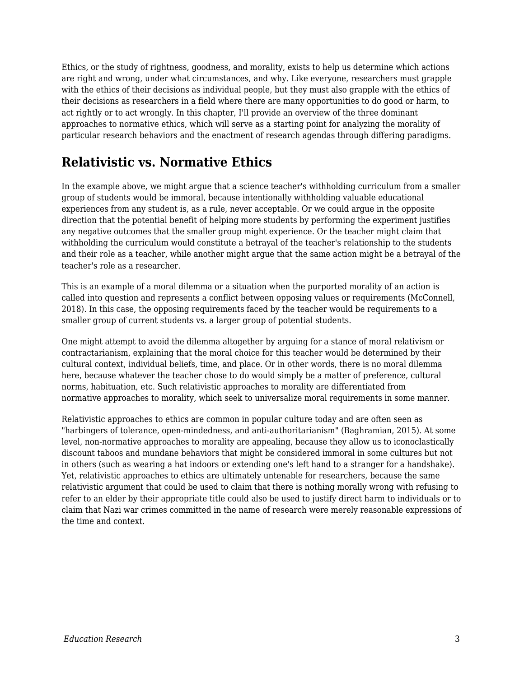Ethics, or the study of rightness, goodness, and morality, exists to help us determine which actions are right and wrong, under what circumstances, and why. Like everyone, researchers must grapple with the ethics of their decisions as individual people, but they must also grapple with the ethics of their decisions as researchers in a field where there are many opportunities to do good or harm, to act rightly or to act wrongly. In this chapter, I'll provide an overview of the three dominant approaches to normative ethics, which will serve as a starting point for analyzing the morality of particular research behaviors and the enactment of research agendas through differing paradigms.

## **Relativistic vs. Normative Ethics**

In the example above, we might argue that a science teacher's withholding curriculum from a smaller group of students would be immoral, because intentionally withholding valuable educational experiences from any student is, as a rule, never acceptable. Or we could argue in the opposite direction that the potential benefit of helping more students by performing the experiment justifies any negative outcomes that the smaller group might experience. Or the teacher might claim that withholding the curriculum would constitute a betrayal of the teacher's relationship to the students and their role as a teacher, while another might argue that the same action might be a betrayal of the teacher's role as a researcher.

This is an example of a moral dilemma or a situation when the purported morality of an action is called into question and represents a conflict between opposing values or requirements (McConnell, 2018). In this case, the opposing requirements faced by the teacher would be requirements to a smaller group of current students vs. a larger group of potential students.

One might attempt to avoid the dilemma altogether by arguing for a stance of moral relativism or contractarianism, explaining that the moral choice for this teacher would be determined by their cultural context, individual beliefs, time, and place. Or in other words, there is no moral dilemma here, because whatever the teacher chose to do would simply be a matter of preference, cultural norms, habituation, etc. Such relativistic approaches to morality are differentiated from normative approaches to morality, which seek to universalize moral requirements in some manner.

Relativistic approaches to ethics are common in popular culture today and are often seen as "harbingers of tolerance, open-mindedness, and anti-authoritarianism" (Baghramian, 2015). At some level, non-normative approaches to morality are appealing, because they allow us to iconoclastically discount taboos and mundane behaviors that might be considered immoral in some cultures but not in others (such as wearing a hat indoors or extending one's left hand to a stranger for a handshake). Yet, relativistic approaches to ethics are ultimately untenable for researchers, because the same relativistic argument that could be used to claim that there is nothing morally wrong with refusing to refer to an elder by their appropriate title could also be used to justify direct harm to individuals or to claim that Nazi war crimes committed in the name of research were merely reasonable expressions of the time and context.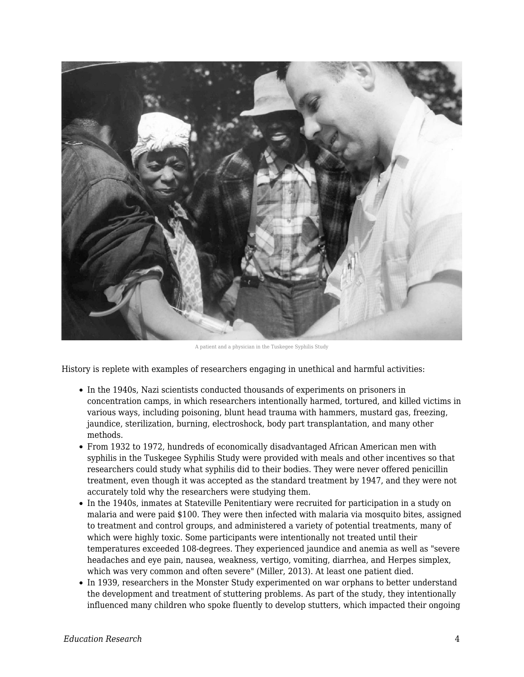

A patient and a physician in the Tuskegee Syphilis Study

History is replete with examples of researchers engaging in unethical and harmful activities:

- In the 1940s, Nazi scientists conducted thousands of experiments on prisoners in concentration camps, in which researchers intentionally harmed, tortured, and killed victims in various ways, including poisoning, blunt head trauma with hammers, mustard gas, freezing, jaundice, sterilization, burning, electroshock, body part transplantation, and many other methods.
- From 1932 to 1972, hundreds of economically disadvantaged African American men with syphilis in the Tuskegee Syphilis Study were provided with meals and other incentives so that researchers could study what syphilis did to their bodies. They were never offered penicillin treatment, even though it was accepted as the standard treatment by 1947, and they were not accurately told why the researchers were studying them.
- In the 1940s, inmates at Stateville Penitentiary were recruited for participation in a study on malaria and were paid \$100. They were then infected with malaria via mosquito bites, assigned to treatment and control groups, and administered a variety of potential treatments, many of which were highly toxic. Some participants were intentionally not treated until their temperatures exceeded 108-degrees. They experienced jaundice and anemia as well as "severe headaches and eye pain, nausea, weakness, vertigo, vomiting, diarrhea, and Herpes simplex, which was very common and often severe" (Miller, 2013). At least one patient died.
- In 1939, researchers in the Monster Study experimented on war orphans to better understand the development and treatment of stuttering problems. As part of the study, they intentionally influenced many children who spoke fluently to develop stutters, which impacted their ongoing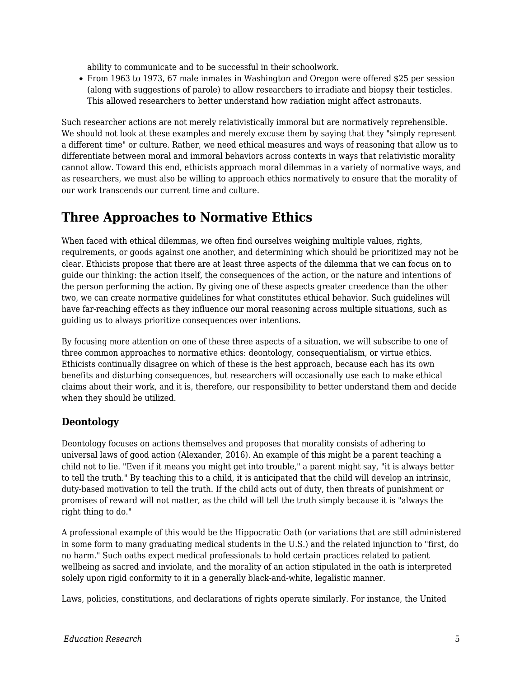ability to communicate and to be successful in their schoolwork.

From 1963 to 1973, 67 male inmates in Washington and Oregon were offered \$25 per session (along with suggestions of parole) to allow researchers to irradiate and biopsy their testicles. This allowed researchers to better understand how radiation might affect astronauts.

Such researcher actions are not merely relativistically immoral but are normatively reprehensible. We should not look at these examples and merely excuse them by saying that they "simply represent a different time" or culture. Rather, we need ethical measures and ways of reasoning that allow us to differentiate between moral and immoral behaviors across contexts in ways that relativistic morality cannot allow. Toward this end, ethicists approach moral dilemmas in a variety of normative ways, and as researchers, we must also be willing to approach ethics normatively to ensure that the morality of our work transcends our current time and culture.

## **Three Approaches to Normative Ethics**

When faced with ethical dilemmas, we often find ourselves weighing multiple values, rights, requirements, or goods against one another, and determining which should be prioritized may not be clear. Ethicists propose that there are at least three aspects of the dilemma that we can focus on to guide our thinking: the action itself, the consequences of the action, or the nature and intentions of the person performing the action. By giving one of these aspects greater creedence than the other two, we can create normative guidelines for what constitutes ethical behavior. Such guidelines will have far-reaching effects as they influence our moral reasoning across multiple situations, such as guiding us to always prioritize consequences over intentions.

By focusing more attention on one of these three aspects of a situation, we will subscribe to one of three common approaches to normative ethics: deontology, consequentialism, or virtue ethics. Ethicists continually disagree on which of these is the best approach, because each has its own benefits and disturbing consequences, but researchers will occasionally use each to make ethical claims about their work, and it is, therefore, our responsibility to better understand them and decide when they should be utilized.

## **Deontology**

Deontology focuses on actions themselves and proposes that morality consists of adhering to universal laws of good action (Alexander, 2016). An example of this might be a parent teaching a child not to lie. "Even if it means you might get into trouble," a parent might say, "it is always better to tell the truth." By teaching this to a child, it is anticipated that the child will develop an intrinsic, duty-based motivation to tell the truth. If the child acts out of duty, then threats of punishment or promises of reward will not matter, as the child will tell the truth simply because it is "always the right thing to do."

A professional example of this would be the Hippocratic Oath (or variations that are still administered in some form to many graduating medical students in the U.S.) and the related injunction to "first, do no harm." Such oaths expect medical professionals to hold certain practices related to patient wellbeing as sacred and inviolate, and the morality of an action stipulated in the oath is interpreted solely upon rigid conformity to it in a generally black-and-white, legalistic manner.

Laws, policies, constitutions, and declarations of rights operate similarly. For instance, the United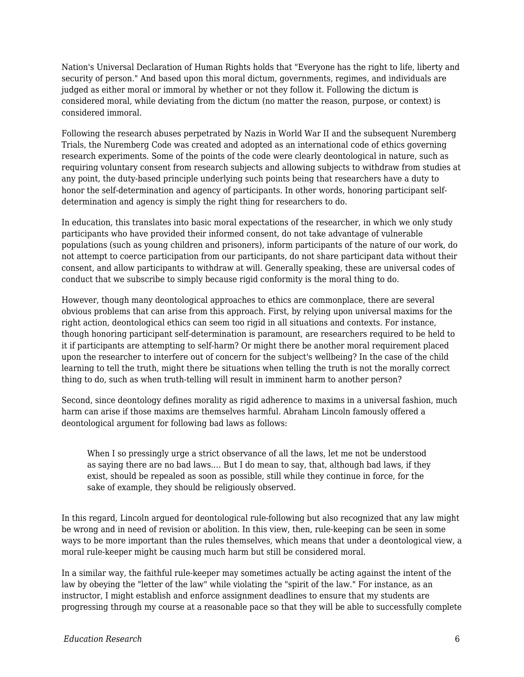Nation's Universal Declaration of Human Rights holds that "Everyone has the right to life, liberty and security of person." And based upon this moral dictum, governments, regimes, and individuals are judged as either moral or immoral by whether or not they follow it. Following the dictum is considered moral, while deviating from the dictum (no matter the reason, purpose, or context) is considered immoral.

Following the research abuses perpetrated by Nazis in World War II and the subsequent Nuremberg Trials, the Nuremberg Code was created and adopted as an international code of ethics governing research experiments. Some of the points of the code were clearly deontological in nature, such as requiring voluntary consent from research subjects and allowing subjects to withdraw from studies at any point, the duty-based principle underlying such points being that researchers have a duty to honor the self-determination and agency of participants. In other words, honoring participant selfdetermination and agency is simply the right thing for researchers to do.

In education, this translates into basic moral expectations of the researcher, in which we only study participants who have provided their informed consent, do not take advantage of vulnerable populations (such as young children and prisoners), inform participants of the nature of our work, do not attempt to coerce participation from our participants, do not share participant data without their consent, and allow participants to withdraw at will. Generally speaking, these are universal codes of conduct that we subscribe to simply because rigid conformity is the moral thing to do.

However, though many deontological approaches to ethics are commonplace, there are several obvious problems that can arise from this approach. First, by relying upon universal maxims for the right action, deontological ethics can seem too rigid in all situations and contexts. For instance, though honoring participant self-determination is paramount, are researchers required to be held to it if participants are attempting to self-harm? Or might there be another moral requirement placed upon the researcher to interfere out of concern for the subject's wellbeing? In the case of the child learning to tell the truth, might there be situations when telling the truth is not the morally correct thing to do, such as when truth-telling will result in imminent harm to another person?

Second, since deontology defines morality as rigid adherence to maxims in a universal fashion, much harm can arise if those maxims are themselves harmful. Abraham Lincoln famously offered a deontological argument for following bad laws as follows:

When I so pressingly urge a strict observance of all the laws, let me not be understood as saying there are no bad laws.… But I do mean to say, that, although bad laws, if they exist, should be repealed as soon as possible, still while they continue in force, for the sake of example, they should be religiously observed.

In this regard, Lincoln argued for deontological rule-following but also recognized that any law might be wrong and in need of revision or abolition. In this view, then, rule-keeping can be seen in some ways to be more important than the rules themselves, which means that under a deontological view, a moral rule-keeper might be causing much harm but still be considered moral.

In a similar way, the faithful rule-keeper may sometimes actually be acting against the intent of the law by obeying the "letter of the law" while violating the "spirit of the law." For instance, as an instructor, I might establish and enforce assignment deadlines to ensure that my students are progressing through my course at a reasonable pace so that they will be able to successfully complete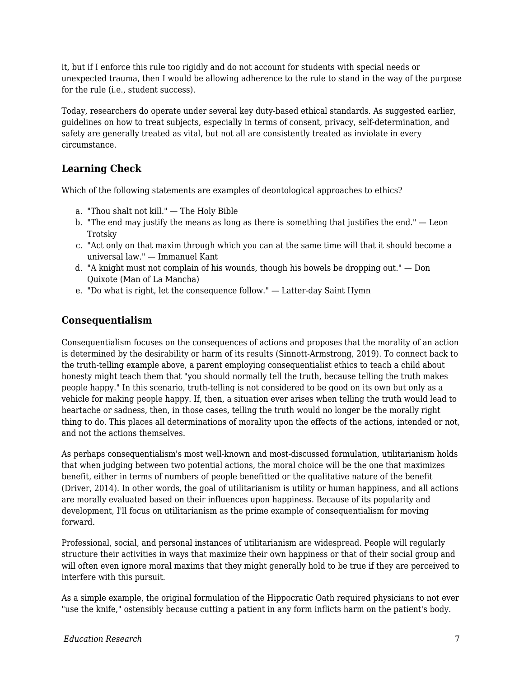it, but if I enforce this rule too rigidly and do not account for students with special needs or unexpected trauma, then I would be allowing adherence to the rule to stand in the way of the purpose for the rule (i.e., student success).

Today, researchers do operate under several key duty-based ethical standards. As suggested earlier, guidelines on how to treat subjects, especially in terms of consent, privacy, self-determination, and safety are generally treated as vital, but not all are consistently treated as inviolate in every circumstance.

## **Learning Check**

Which of the following statements are examples of deontological approaches to ethics?

- a. "Thou shalt not kill." The Holy Bible
- b. "The end may justify the means as long as there is something that justifies the end." Leon Trotsky
- c. "Act only on that maxim through which you can at the same time will that it should become a universal law." — Immanuel Kant
- d. "A knight must not complain of his wounds, though his bowels be dropping out." Don Quixote (Man of La Mancha)
- e. "Do what is right, let the consequence follow." Latter-day Saint Hymn

### **Consequentialism**

Consequentialism focuses on the consequences of actions and proposes that the morality of an action is determined by the desirability or harm of its results (Sinnott-Armstrong, 2019). To connect back to the truth-telling example above, a parent employing consequentialist ethics to teach a child about honesty might teach them that "you should normally tell the truth, because telling the truth makes people happy." In this scenario, truth-telling is not considered to be good on its own but only as a vehicle for making people happy. If, then, a situation ever arises when telling the truth would lead to heartache or sadness, then, in those cases, telling the truth would no longer be the morally right thing to do. This places all determinations of morality upon the effects of the actions, intended or not, and not the actions themselves.

As perhaps consequentialism's most well-known and most-discussed formulation, utilitarianism holds that when judging between two potential actions, the moral choice will be the one that maximizes benefit, either in terms of numbers of people benefitted or the qualitative nature of the benefit (Driver, 2014). In other words, the goal of utilitarianism is utility or human happiness, and all actions are morally evaluated based on their influences upon happiness. Because of its popularity and development, I'll focus on utilitarianism as the prime example of consequentialism for moving forward.

Professional, social, and personal instances of utilitarianism are widespread. People will regularly structure their activities in ways that maximize their own happiness or that of their social group and will often even ignore moral maxims that they might generally hold to be true if they are perceived to interfere with this pursuit.

As a simple example, the original formulation of the Hippocratic Oath required physicians to not ever "use the knife," ostensibly because cutting a patient in any form inflicts harm on the patient's body.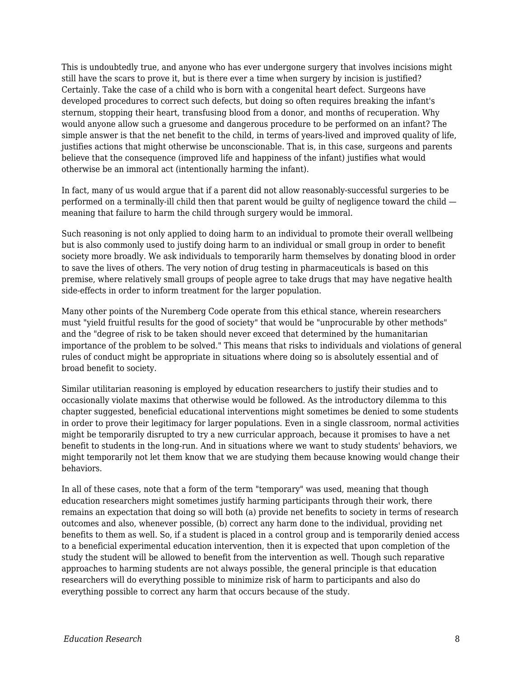This is undoubtedly true, and anyone who has ever undergone surgery that involves incisions might still have the scars to prove it, but is there ever a time when surgery by incision is justified? Certainly. Take the case of a child who is born with a congenital heart defect. Surgeons have developed procedures to correct such defects, but doing so often requires breaking the infant's sternum, stopping their heart, transfusing blood from a donor, and months of recuperation. Why would anyone allow such a gruesome and dangerous procedure to be performed on an infant? The simple answer is that the net benefit to the child, in terms of years-lived and improved quality of life, justifies actions that might otherwise be unconscionable. That is, in this case, surgeons and parents believe that the consequence (improved life and happiness of the infant) justifies what would otherwise be an immoral act (intentionally harming the infant).

In fact, many of us would argue that if a parent did not allow reasonably-successful surgeries to be performed on a terminally-ill child then that parent would be guilty of negligence toward the child meaning that failure to harm the child through surgery would be immoral.

Such reasoning is not only applied to doing harm to an individual to promote their overall wellbeing but is also commonly used to justify doing harm to an individual or small group in order to benefit society more broadly. We ask individuals to temporarily harm themselves by donating blood in order to save the lives of others. The very notion of drug testing in pharmaceuticals is based on this premise, where relatively small groups of people agree to take drugs that may have negative health side-effects in order to inform treatment for the larger population.

Many other points of the Nuremberg Code operate from this ethical stance, wherein researchers must "yield fruitful results for the good of society" that would be "unprocurable by other methods" and the "degree of risk to be taken should never exceed that determined by the humanitarian importance of the problem to be solved." This means that risks to individuals and violations of general rules of conduct might be appropriate in situations where doing so is absolutely essential and of broad benefit to society.

Similar utilitarian reasoning is employed by education researchers to justify their studies and to occasionally violate maxims that otherwise would be followed. As the introductory dilemma to this chapter suggested, beneficial educational interventions might sometimes be denied to some students in order to prove their legitimacy for larger populations. Even in a single classroom, normal activities might be temporarily disrupted to try a new curricular approach, because it promises to have a net benefit to students in the long-run. And in situations where we want to study students' behaviors, we might temporarily not let them know that we are studying them because knowing would change their behaviors.

In all of these cases, note that a form of the term "temporary" was used, meaning that though education researchers might sometimes justify harming participants through their work, there remains an expectation that doing so will both (a) provide net benefits to society in terms of research outcomes and also, whenever possible, (b) correct any harm done to the individual, providing net benefits to them as well. So, if a student is placed in a control group and is temporarily denied access to a beneficial experimental education intervention, then it is expected that upon completion of the study the student will be allowed to benefit from the intervention as well. Though such reparative approaches to harming students are not always possible, the general principle is that education researchers will do everything possible to minimize risk of harm to participants and also do everything possible to correct any harm that occurs because of the study.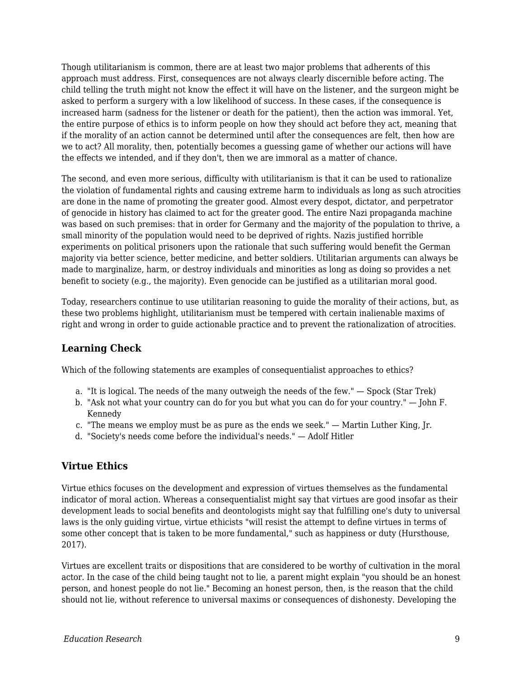Though utilitarianism is common, there are at least two major problems that adherents of this approach must address. First, consequences are not always clearly discernible before acting. The child telling the truth might not know the effect it will have on the listener, and the surgeon might be asked to perform a surgery with a low likelihood of success. In these cases, if the consequence is increased harm (sadness for the listener or death for the patient), then the action was immoral. Yet, the entire purpose of ethics is to inform people on how they should act before they act, meaning that if the morality of an action cannot be determined until after the consequences are felt, then how are we to act? All morality, then, potentially becomes a guessing game of whether our actions will have the effects we intended, and if they don't, then we are immoral as a matter of chance.

The second, and even more serious, difficulty with utilitarianism is that it can be used to rationalize the violation of fundamental rights and causing extreme harm to individuals as long as such atrocities are done in the name of promoting the greater good. Almost every despot, dictator, and perpetrator of genocide in history has claimed to act for the greater good. The entire Nazi propaganda machine was based on such premises: that in order for Germany and the majority of the population to thrive, a small minority of the population would need to be deprived of rights. Nazis justified horrible experiments on political prisoners upon the rationale that such suffering would benefit the German majority via better science, better medicine, and better soldiers. Utilitarian arguments can always be made to marginalize, harm, or destroy individuals and minorities as long as doing so provides a net benefit to society (e.g., the majority). Even genocide can be justified as a utilitarian moral good.

Today, researchers continue to use utilitarian reasoning to guide the morality of their actions, but, as these two problems highlight, utilitarianism must be tempered with certain inalienable maxims of right and wrong in order to guide actionable practice and to prevent the rationalization of atrocities.

## **Learning Check**

Which of the following statements are examples of consequentialist approaches to ethics?

- a. "It is logical. The needs of the many outweigh the needs of the few." Spock (Star Trek)
- b. "Ask not what your country can do for you but what you can do for your country." John F. Kennedy
- c. "The means we employ must be as pure as the ends we seek." Martin Luther King, Jr.
- d. "Society's needs come before the individual's needs." Adolf Hitler

## **Virtue Ethics**

Virtue ethics focuses on the development and expression of virtues themselves as the fundamental indicator of moral action. Whereas a consequentialist might say that virtues are good insofar as their development leads to social benefits and deontologists might say that fulfilling one's duty to universal laws is the only guiding virtue, virtue ethicists "will resist the attempt to define virtues in terms of some other concept that is taken to be more fundamental," such as happiness or duty (Hursthouse, 2017).

Virtues are excellent traits or dispositions that are considered to be worthy of cultivation in the moral actor. In the case of the child being taught not to lie, a parent might explain "you should be an honest person, and honest people do not lie." Becoming an honest person, then, is the reason that the child should not lie, without reference to universal maxims or consequences of dishonesty. Developing the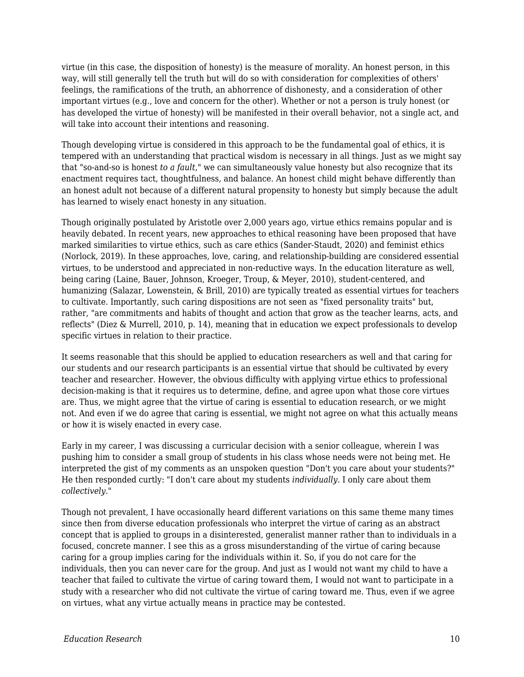virtue (in this case, the disposition of honesty) is the measure of morality. An honest person, in this way, will still generally tell the truth but will do so with consideration for complexities of others' feelings, the ramifications of the truth, an abhorrence of dishonesty, and a consideration of other important virtues (e.g., love and concern for the other). Whether or not a person is truly honest (or has developed the virtue of honesty) will be manifested in their overall behavior, not a single act, and will take into account their intentions and reasoning.

Though developing virtue is considered in this approach to be the fundamental goal of ethics, it is tempered with an understanding that practical wisdom is necessary in all things. Just as we might say that "so-and-so is honest *to a fault*," we can simultaneously value honesty but also recognize that its enactment requires tact, thoughtfulness, and balance. An honest child might behave differently than an honest adult not because of a different natural propensity to honesty but simply because the adult has learned to wisely enact honesty in any situation.

Though originally postulated by Aristotle over 2,000 years ago, virtue ethics remains popular and is heavily debated. In recent years, new approaches to ethical reasoning have been proposed that have marked similarities to virtue ethics, such as care ethics (Sander-Staudt, 2020) and feminist ethics (Norlock, 2019). In these approaches, love, caring, and relationship-building are considered essential virtues, to be understood and appreciated in non-reductive ways. In the education literature as well, being caring (Laine, Bauer, Johnson, Kroeger, Troup, & Meyer, 2010), student-centered, and humanizing (Salazar, Lowenstein, & Brill, 2010) are typically treated as essential virtues for teachers to cultivate. Importantly, such caring dispositions are not seen as "fixed personality traits" but, rather, "are commitments and habits of thought and action that grow as the teacher learns, acts, and reflects" (Diez & Murrell, 2010, p. 14), meaning that in education we expect professionals to develop specific virtues in relation to their practice.

It seems reasonable that this should be applied to education researchers as well and that caring for our students and our research participants is an essential virtue that should be cultivated by every teacher and researcher. However, the obvious difficulty with applying virtue ethics to professional decision-making is that it requires us to determine, define, and agree upon what those core virtues are. Thus, we might agree that the virtue of caring is essential to education research, or we might not. And even if we do agree that caring is essential, we might not agree on what this actually means or how it is wisely enacted in every case.

Early in my career, I was discussing a curricular decision with a senior colleague, wherein I was pushing him to consider a small group of students in his class whose needs were not being met. He interpreted the gist of my comments as an unspoken question "Don't you care about your students?" He then responded curtly: "I don't care about my students *individually*. I only care about them *collectively*."

Though not prevalent, I have occasionally heard different variations on this same theme many times since then from diverse education professionals who interpret the virtue of caring as an abstract concept that is applied to groups in a disinterested, generalist manner rather than to individuals in a focused, concrete manner. I see this as a gross misunderstanding of the virtue of caring because caring for a group implies caring for the individuals within it. So, if you do not care for the individuals, then you can never care for the group. And just as I would not want my child to have a teacher that failed to cultivate the virtue of caring toward them, I would not want to participate in a study with a researcher who did not cultivate the virtue of caring toward me. Thus, even if we agree on virtues, what any virtue actually means in practice may be contested.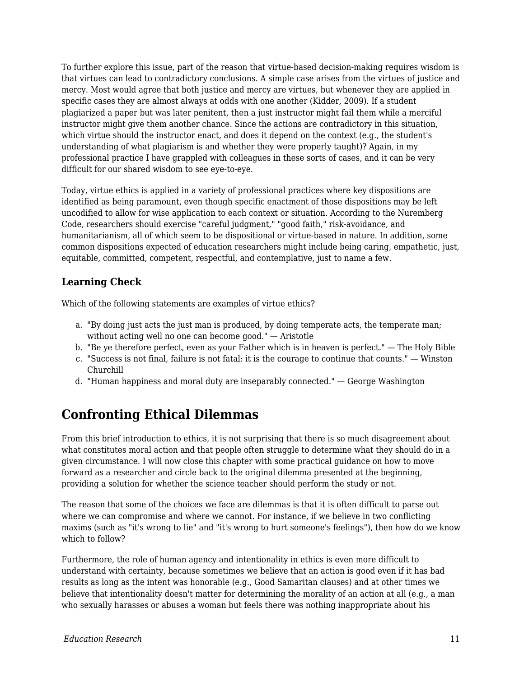To further explore this issue, part of the reason that virtue-based decision-making requires wisdom is that virtues can lead to contradictory conclusions. A simple case arises from the virtues of justice and mercy. Most would agree that both justice and mercy are virtues, but whenever they are applied in specific cases they are almost always at odds with one another (Kidder, 2009). If a student plagiarized a paper but was later penitent, then a just instructor might fail them while a merciful instructor might give them another chance. Since the actions are contradictory in this situation, which virtue should the instructor enact, and does it depend on the context (e.g., the student's understanding of what plagiarism is and whether they were properly taught)? Again, in my professional practice I have grappled with colleagues in these sorts of cases, and it can be very difficult for our shared wisdom to see eye-to-eye.

Today, virtue ethics is applied in a variety of professional practices where key dispositions are identified as being paramount, even though specific enactment of those dispositions may be left uncodified to allow for wise application to each context or situation. According to the Nuremberg Code, researchers should exercise "careful judgment," "good faith," risk-avoidance, and humanitarianism, all of which seem to be dispositional or virtue-based in nature. In addition, some common dispositions expected of education researchers might include being caring, empathetic, just, equitable, committed, competent, respectful, and contemplative, just to name a few.

## **Learning Check**

Which of the following statements are examples of virtue ethics?

- a. "By doing just acts the just man is produced, by doing temperate acts, the temperate man; without acting well no one can become good." — Aristotle
- b. "Be ye therefore perfect, even as your Father which is in heaven is perfect." The Holy Bible
- c. "Success is not final, failure is not fatal: it is the courage to continue that counts." Winston Churchill
- d. "Human happiness and moral duty are inseparably connected." George Washington

## **Confronting Ethical Dilemmas**

From this brief introduction to ethics, it is not surprising that there is so much disagreement about what constitutes moral action and that people often struggle to determine what they should do in a given circumstance. I will now close this chapter with some practical guidance on how to move forward as a researcher and circle back to the original dilemma presented at the beginning, providing a solution for whether the science teacher should perform the study or not.

The reason that some of the choices we face are dilemmas is that it is often difficult to parse out where we can compromise and where we cannot. For instance, if we believe in two conflicting maxims (such as "it's wrong to lie" and "it's wrong to hurt someone's feelings"), then how do we know which to follow?

Furthermore, the role of human agency and intentionality in ethics is even more difficult to understand with certainty, because sometimes we believe that an action is good even if it has bad results as long as the intent was honorable (e.g., Good Samaritan clauses) and at other times we believe that intentionality doesn't matter for determining the morality of an action at all (e.g., a man who sexually harasses or abuses a woman but feels there was nothing inappropriate about his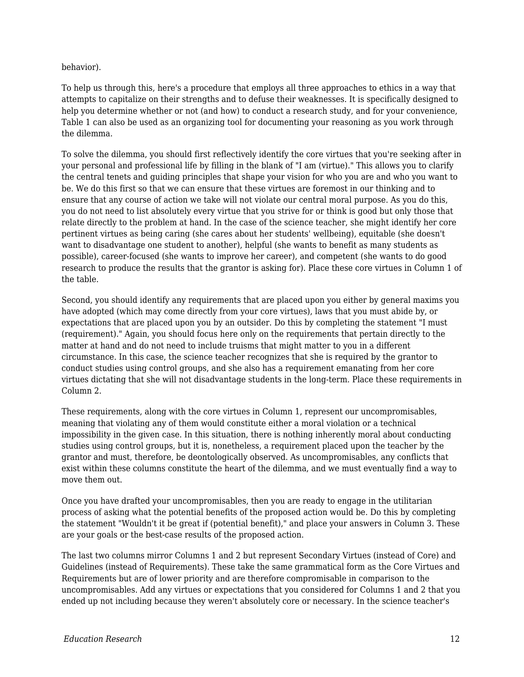behavior).

To help us through this, here's a procedure that employs all three approaches to ethics in a way that attempts to capitalize on their strengths and to defuse their weaknesses. It is specifically designed to help you determine whether or not (and how) to conduct a research study, and for your convenience, Table 1 can also be used as an organizing tool for documenting your reasoning as you work through the dilemma.

To solve the dilemma, you should first reflectively identify the core virtues that you're seeking after in your personal and professional life by filling in the blank of "I am (virtue)." This allows you to clarify the central tenets and guiding principles that shape your vision for who you are and who you want to be. We do this first so that we can ensure that these virtues are foremost in our thinking and to ensure that any course of action we take will not violate our central moral purpose. As you do this, you do not need to list absolutely every virtue that you strive for or think is good but only those that relate directly to the problem at hand. In the case of the science teacher, she might identify her core pertinent virtues as being caring (she cares about her students' wellbeing), equitable (she doesn't want to disadvantage one student to another), helpful (she wants to benefit as many students as possible), career-focused (she wants to improve her career), and competent (she wants to do good research to produce the results that the grantor is asking for). Place these core virtues in Column 1 of the table.

Second, you should identify any requirements that are placed upon you either by general maxims you have adopted (which may come directly from your core virtues), laws that you must abide by, or expectations that are placed upon you by an outsider. Do this by completing the statement "I must (requirement)." Again, you should focus here only on the requirements that pertain directly to the matter at hand and do not need to include truisms that might matter to you in a different circumstance. In this case, the science teacher recognizes that she is required by the grantor to conduct studies using control groups, and she also has a requirement emanating from her core virtues dictating that she will not disadvantage students in the long-term. Place these requirements in Column 2.

These requirements, along with the core virtues in Column 1, represent our uncompromisables, meaning that violating any of them would constitute either a moral violation or a technical impossibility in the given case. In this situation, there is nothing inherently moral about conducting studies using control groups, but it is, nonetheless, a requirement placed upon the teacher by the grantor and must, therefore, be deontologically observed. As uncompromisables, any conflicts that exist within these columns constitute the heart of the dilemma, and we must eventually find a way to move them out.

Once you have drafted your uncompromisables, then you are ready to engage in the utilitarian process of asking what the potential benefits of the proposed action would be. Do this by completing the statement "Wouldn't it be great if (potential benefit)," and place your answers in Column 3. These are your goals or the best-case results of the proposed action.

The last two columns mirror Columns 1 and 2 but represent Secondary Virtues (instead of Core) and Guidelines (instead of Requirements). These take the same grammatical form as the Core Virtues and Requirements but are of lower priority and are therefore compromisable in comparison to the uncompromisables. Add any virtues or expectations that you considered for Columns 1 and 2 that you ended up not including because they weren't absolutely core or necessary. In the science teacher's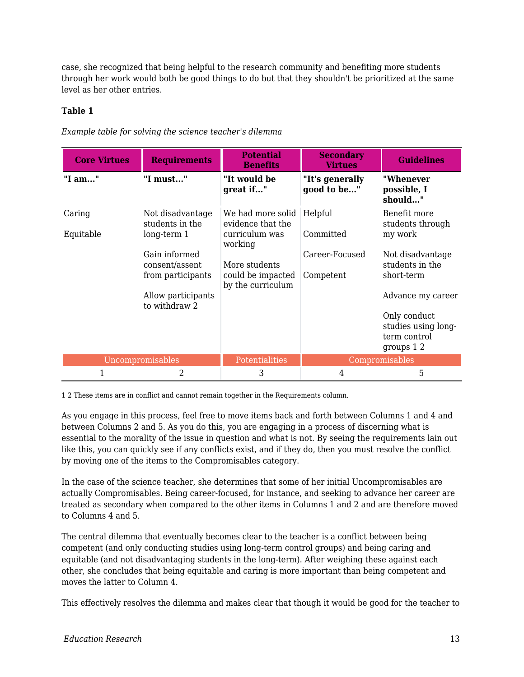case, she recognized that being helpful to the research community and benefiting more students through her work would both be good things to do but that they shouldn't be prioritized at the same level as her other entries.

### **Table 1**

| <b>Core Virtues</b> | <b>Requirements</b>                                  | <b>Potential</b><br><b>Benefits</b>                                 | <b>Secondary</b><br><b>Virtues</b> | <b>Guidelines</b>                                                                       |
|---------------------|------------------------------------------------------|---------------------------------------------------------------------|------------------------------------|-----------------------------------------------------------------------------------------|
| "I am"              | "I must"                                             | "It would be<br>great if"                                           | "It's generally<br>good to be"     | "Whenever<br>possible, I<br>should"                                                     |
| Caring<br>Equitable | Not disadvantage<br>students in the<br>$long-term 1$ | We had more solid<br>evidence that the<br>curriculum was<br>working | Helpful<br>Committed               | Benefit more<br>students through<br>my work                                             |
|                     | Gain informed<br>consent/assent<br>from participants | More students<br>could be impacted<br>by the curriculum             | Career-Focused<br>Competent        | Not disadvantage<br>students in the<br>short-term                                       |
|                     | Allow participants<br>to withdraw 2                  |                                                                     |                                    | Advance my career<br>Only conduct<br>studies using long-<br>term control<br>groups $12$ |
| Uncompromisables    |                                                      | Potentialities                                                      |                                    | Compromisables                                                                          |
| 1                   | 2                                                    | 3                                                                   | 4                                  | 5                                                                                       |

*Example table for solving the science teacher's dilemma*

1 2 These items are in conflict and cannot remain together in the Requirements column.

As you engage in this process, feel free to move items back and forth between Columns 1 and 4 and between Columns 2 and 5. As you do this, you are engaging in a process of discerning what is essential to the morality of the issue in question and what is not. By seeing the requirements lain out like this, you can quickly see if any conflicts exist, and if they do, then you must resolve the conflict by moving one of the items to the Compromisables category.

In the case of the science teacher, she determines that some of her initial Uncompromisables are actually Compromisables. Being career-focused, for instance, and seeking to advance her career are treated as secondary when compared to the other items in Columns 1 and 2 and are therefore moved to Columns 4 and 5.

The central dilemma that eventually becomes clear to the teacher is a conflict between being competent (and only conducting studies using long-term control groups) and being caring and equitable (and not disadvantaging students in the long-term). After weighing these against each other, she concludes that being equitable and caring is more important than being competent and moves the latter to Column 4.

This effectively resolves the dilemma and makes clear that though it would be good for the teacher to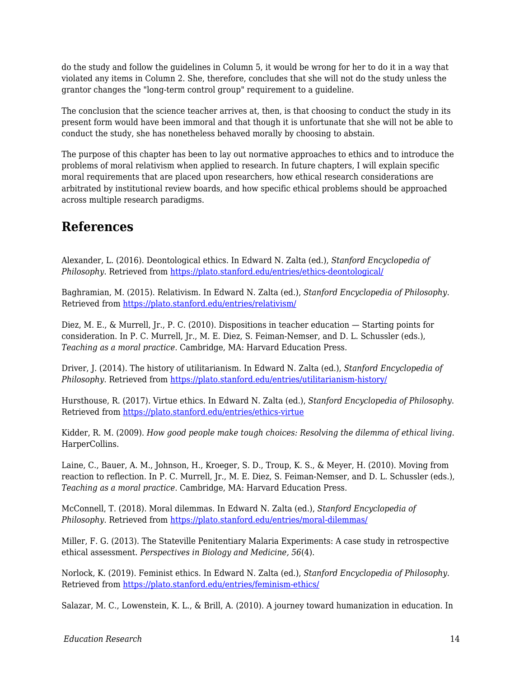do the study and follow the guidelines in Column 5, it would be wrong for her to do it in a way that violated any items in Column 2. She, therefore, concludes that she will not do the study unless the grantor changes the "long-term control group" requirement to a guideline.

The conclusion that the science teacher arrives at, then, is that choosing to conduct the study in its present form would have been immoral and that though it is unfortunate that she will not be able to conduct the study, she has nonetheless behaved morally by choosing to abstain.

The purpose of this chapter has been to lay out normative approaches to ethics and to introduce the problems of moral relativism when applied to research. In future chapters, I will explain specific moral requirements that are placed upon researchers, how ethical research considerations are arbitrated by institutional review boards, and how specific ethical problems should be approached across multiple research paradigms.

## **References**

Alexander, L. (2016). Deontological ethics. In Edward N. Zalta (ed.), *Stanford Encyclopedia of Philosophy*. Retrieved from<https://plato.stanford.edu/entries/ethics-deontological/>

Baghramian, M. (2015). Relativism. In Edward N. Zalta (ed.), *Stanford Encyclopedia of Philosophy*. Retrieved from <https://plato.stanford.edu/entries/relativism/>

Diez, M. E., & Murrell, Jr., P. C. (2010). Dispositions in teacher education — Starting points for consideration. In P. C. Murrell, Jr., M. E. Diez, S. Feiman-Nemser, and D. L. Schussler (eds.), *Teaching as a moral practice*. Cambridge, MA: Harvard Education Press.

Driver, J. (2014). The history of utilitarianism. In Edward N. Zalta (ed.), *Stanford Encyclopedia of Philosophy*. Retrieved from<https://plato.stanford.edu/entries/utilitarianism-history/>

Hursthouse, R. (2017). Virtue ethics. In Edward N. Zalta (ed.), *Stanford Encyclopedia of Philosophy*. Retrieved from <https://plato.stanford.edu/entries/ethics-virtue>

Kidder, R. M. (2009). *How good people make tough choices: Resolving the dilemma of ethical living*. HarperCollins.

Laine, C., Bauer, A. M., Johnson, H., Kroeger, S. D., Troup, K. S., & Meyer, H. (2010). Moving from reaction to reflection. In P. C. Murrell, Jr., M. E. Diez, S. Feiman-Nemser, and D. L. Schussler (eds.), *Teaching as a moral practice*. Cambridge, MA: Harvard Education Press.

McConnell, T. (2018). Moral dilemmas. In Edward N. Zalta (ed.), *Stanford Encyclopedia of Philosophy*. Retrieved from<https://plato.stanford.edu/entries/moral-dilemmas/>

Miller, F. G. (2013). The Stateville Penitentiary Malaria Experiments: A case study in retrospective ethical assessment. *Perspectives in Biology and Medicine, 56*(4).

Norlock, K. (2019). Feminist ethics. In Edward N. Zalta (ed.), *Stanford Encyclopedia of Philosophy*. Retrieved from <https://plato.stanford.edu/entries/feminism-ethics/>

Salazar, M. C., Lowenstein, K. L., & Brill, A. (2010). A journey toward humanization in education. In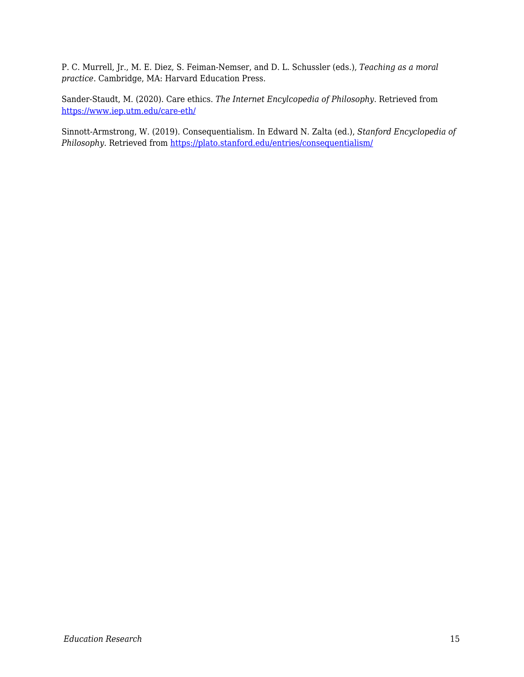P. C. Murrell, Jr., M. E. Diez, S. Feiman-Nemser, and D. L. Schussler (eds.), *Teaching as a moral practice*. Cambridge, MA: Harvard Education Press.

Sander-Staudt, M. (2020). Care ethics. *The Internet Encylcopedia of Philosophy*. Retrieved from <https://www.iep.utm.edu/care-eth/>

Sinnott-Armstrong, W. (2019). Consequentialism. In Edward N. Zalta (ed.), *Stanford Encyclopedia of Philosophy*. Retrieved from<https://plato.stanford.edu/entries/consequentialism/>